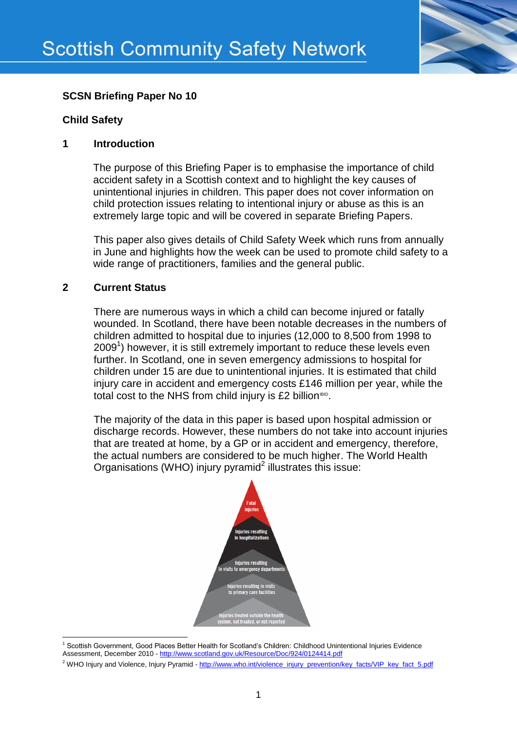

# **SCSN Briefing Paper No 10**

### **Child Safety**

### **1 Introduction**

The purpose of this Briefing Paper is to emphasise the importance of child accident safety in a Scottish context and to highlight the key causes of unintentional injuries in children. This paper does not cover information on child protection issues relating to intentional injury or abuse as this is an extremely large topic and will be covered in separate Briefing Papers.

This paper also gives details of Child Safety Week which runs from annually in June and highlights how the week can be used to promote child safety to a wide range of practitioners, families and the general public.

## **2 Current Status**

There are numerous ways in which a child can become injured or fatally wounded. In Scotland, there have been notable decreases in the numbers of children admitted to hospital due to injuries (12,000 to 8,500 from 1998 to 2009<sup>1</sup>) however, it is still extremely important to reduce these levels even further. In Scotland, one in seven emergency admissions to hospital for children under 15 are due to unintentional injuries. It is estimated that child injury care in accident and emergency costs £146 million per year, while the total cost to the NHS from child injury is £2 billion<sup>BID</sup>.

The majority of the data in this paper is based upon hospital admission or discharge records. However, these numbers do not take into account injuries that are treated at home, by a GP or in accident and emergency, therefore, the actual numbers are considered to be much higher. The World Health Organisations (WHO) injury pyramid $^2$  illustrates this issue:



**<sup>.</sup>** <sup>1</sup> Scottish Government, Good Places Better Health for Scotland's Children: Childhood Unintentional Injuries Evidence Assessment, December 2010 - <http://www.scotland.gov.uk/Resource/Doc/924/0124414.pdf>

<sup>&</sup>lt;sup>2</sup> WHO Injury and Violence, Injury Pyramid - [http://www.who.int/violence\\_injury\\_prevention/key\\_facts/VIP\\_key\\_fact\\_5.pdf](http://www.who.int/violence_injury_prevention/key_facts/VIP_key_fact_5.pdf)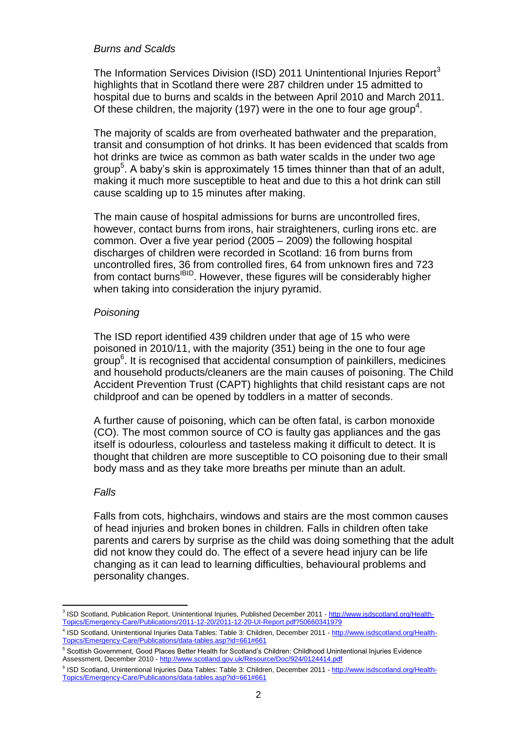#### *Burns and Scalds*

The Information Services Division (ISD) 2011 Unintentional Injuries Report<sup>3</sup> highlights that in Scotland there were 287 children under 15 admitted to hospital due to burns and scalds in the between April 2010 and March 2011. Of these children, the majority (197) were in the one to four age group<sup>4</sup>.

The majority of scalds are from overheated bathwater and the preparation, transit and consumption of hot drinks. It has been evidenced that scalds from hot drinks are twice as common as bath water scalds in the under two age group<sup>5</sup>. A baby's skin is approximately 15 times thinner than that of an adult, making it much more susceptible to heat and due to this a hot drink can still cause scalding up to 15 minutes after making.

The main cause of hospital admissions for burns are uncontrolled fires, however, contact burns from irons, hair straighteners, curling irons etc. are common. Over a five year period (2005 – 2009) the following hospital discharges of children were recorded in Scotland: 16 from burns from uncontrolled fires, 36 from controlled fires, 64 from unknown fires and 723 from contact burns<sup>IBID</sup>. However, these figures will be considerably higher when taking into consideration the injury pyramid.

### *Poisoning*

The ISD report identified 439 children under that age of 15 who were poisoned in 2010/11, with the majority (351) being in the one to four age group<sup>6</sup>. It is recognised that accidental consumption of painkillers, medicines and household products/cleaners are the main causes of poisoning. The Child Accident Prevention Trust (CAPT) highlights that child resistant caps are not childproof and can be opened by toddlers in a matter of seconds.

A further cause of poisoning, which can be often fatal, is carbon monoxide (CO). The most common source of CO is faulty gas appliances and the gas itself is odourless, colourless and tasteless making it difficult to detect. It is thought that children are more susceptible to CO poisoning due to their small body mass and as they take more breaths per minute than an adult.

### *Falls*

Falls from cots, highchairs, windows and stairs are the most common causes of head injuries and broken bones in children. Falls in children often take parents and carers by surprise as the child was doing something that the adult did not know they could do. The effect of a severe head injury can be life changing as it can lead to learning difficulties, behavioural problems and personality changes.

 3 ISD Scotland, Publication Report, Unintentional Injuries, Published December 2011 - [http://www.isdscotland.org/Health-](http://www.isdscotland.org/Health-Topics/Emergency-Care/Publications/2011-12-20/2011-12-20-UI-Report.pdf?50660341979)[Topics/Emergency-Care/Publications/2011-12-20/2011-12-20-UI-Report.pdf?50660341979](http://www.isdscotland.org/Health-Topics/Emergency-Care/Publications/2011-12-20/2011-12-20-UI-Report.pdf?50660341979)

<sup>&</sup>lt;sup>4</sup> ISD Scotland, Unintentional Injuries Data Tables: Table 3: Children, December 2011 - [http://www.isdscotland.org/Health-](http://www.isdscotland.org/Health-Topics/Emergency-Care/Publications/data-tables.asp?id=661#661)[Topics/Emergency-Care/Publications/data-tables.asp?id=661#661](http://www.isdscotland.org/Health-Topics/Emergency-Care/Publications/data-tables.asp?id=661#661)

<sup>5</sup> Scottish Government, Good Places Better Health for Scotland's Children: Childhood Unintentional Injuries Evidence Assessment, December 2010 - <http://www.scotland.gov.uk/Resource/Doc/924/0124414.pdf>

<sup>&</sup>lt;sup>6</sup> ISD Scotland, Unintentional Injuries Data Tables: Table 3: Children, December 2011 - [http://www.isdscotland.org/Health-](http://www.isdscotland.org/Health-Topics/Emergency-Care/Publications/data-tables.asp?id=661#661)[Topics/Emergency-Care/Publications/data-tables.asp?id=661#661](http://www.isdscotland.org/Health-Topics/Emergency-Care/Publications/data-tables.asp?id=661#661)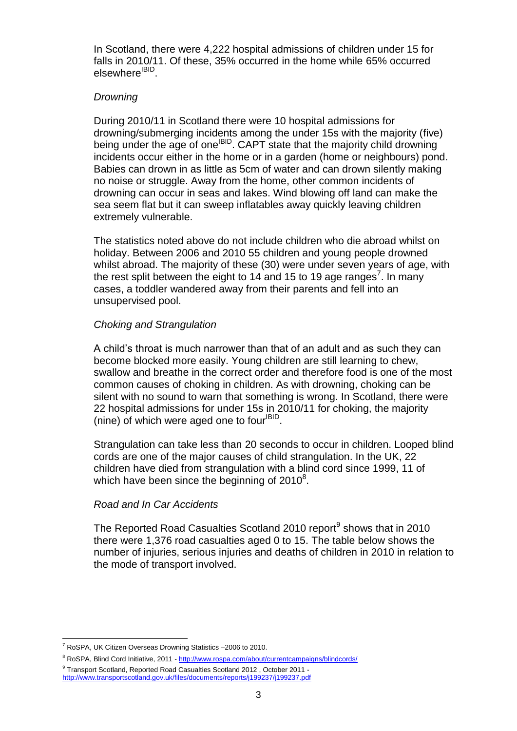In Scotland, there were 4,222 hospital admissions of children under 15 for falls in 2010/11. Of these, 35% occurred in the home while 65% occurred elsewhere<sup>IBID</sup>.

### *Drowning*

During 2010/11 in Scotland there were 10 hospital admissions for drowning/submerging incidents among the under 15s with the majority (five) being under the age of one<sup>IBID</sup>. CAPT state that the majority child drowning incidents occur either in the home or in a garden (home or neighbours) pond. Babies can drown in as little as 5cm of water and can drown silently making no noise or struggle. Away from the home, other common incidents of drowning can occur in seas and lakes. Wind blowing off land can make the sea seem flat but it can sweep inflatables away quickly leaving children extremely vulnerable.

The statistics noted above do not include children who die abroad whilst on holiday. Between 2006 and 2010 55 children and young people drowned whilst abroad. The majority of these (30) were under seven years of age, with the rest split between the eight to 14 and 15 to 19 age ranges<sup>7</sup>. In many cases, a toddler wandered away from their parents and fell into an unsupervised pool.

## *Choking and Strangulation*

A child's throat is much narrower than that of an adult and as such they can become blocked more easily. Young children are still learning to chew, swallow and breathe in the correct order and therefore food is one of the most common causes of choking in children. As with drowning, choking can be silent with no sound to warn that something is wrong. In Scotland, there were 22 hospital admissions for under 15s in 2010/11 for choking, the majority (nine) of which were aged one to four<sup>IBID</sup>.

Strangulation can take less than 20 seconds to occur in children. Looped blind cords are one of the major causes of child strangulation. In the UK, 22 children have died from strangulation with a blind cord since 1999, 11 of which have been since the beginning of  $2010^8$ .

## *Road and In Car Accidents*

The Reported Road Casualties Scotland 2010 report $9$  shows that in 2010 there were 1,376 road casualties aged 0 to 15. The table below shows the number of injuries, serious injuries and deaths of children in 2010 in relation to the mode of transport involved.

<sup>1</sup>  $7$  RoSPA, UK Citizen Overseas Drowning Statistics  $-2006$  to 2010.

<sup>&</sup>lt;sup>8</sup> RoSPA, Blind Cord Initiative, 2011 - <http://www.rospa.com/about/currentcampaigns/blindcords/> <sup>9</sup> Transport Scotland, Reported Road Casualties Scotland 2012, October 2011 -

<http://www.transportscotland.gov.uk/files/documents/reports/j199237/j199237.pdf>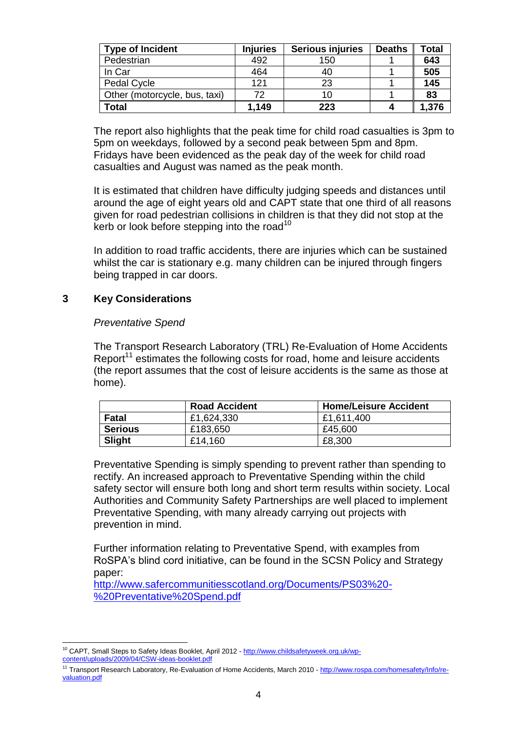| <b>Type of Incident</b>       | <b>Injuries</b> | <b>Serious injuries</b> | <b>Deaths</b> | <b>Total</b> |
|-------------------------------|-----------------|-------------------------|---------------|--------------|
| Pedestrian                    | 492             | 150                     |               | 643          |
| In Car                        | 464             | 40                      |               | 505          |
| Pedal Cycle                   | 121             | 23                      |               | 145          |
| Other (motorcycle, bus, taxi) | 72              | 10                      |               | 83           |
| <b>Total</b>                  | 1,149           | 223                     |               | 1,376        |

The report also highlights that the peak time for child road casualties is 3pm to 5pm on weekdays, followed by a second peak between 5pm and 8pm. Fridays have been evidenced as the peak day of the week for child road casualties and August was named as the peak month.

It is estimated that children have difficulty judging speeds and distances until around the age of eight years old and CAPT state that one third of all reasons given for road pedestrian collisions in children is that they did not stop at the kerb or look before stepping into the road<sup>10</sup>

In addition to road traffic accidents, there are injuries which can be sustained whilst the car is stationary e.g. many children can be injured through fingers being trapped in car doors.

## **3 Key Considerations**

### *Preventative Spend*

The Transport Research Laboratory (TRL) Re-Evaluation of Home Accidents Report<sup>11</sup> estimates the following costs for road, home and leisure accidents (the report assumes that the cost of leisure accidents is the same as those at home).

|                | <b>Road Accident</b> | <b>Home/Leisure Accident</b> |
|----------------|----------------------|------------------------------|
| Fatal          | £1,624,330           | £1.611.400                   |
| <b>Serious</b> | £183,650             | £45,600                      |
| <b>Slight</b>  | £14,160              | £8,300                       |

Preventative Spending is simply spending to prevent rather than spending to rectify. An increased approach to Preventative Spending within the child safety sector will ensure both long and short term results within society. Local Authorities and Community Safety Partnerships are well placed to implement Preventative Spending, with many already carrying out projects with prevention in mind.

Further information relating to Preventative Spend, with examples from RoSPA's blind cord initiative, can be found in the SCSN Policy and Strategy paper:

[http://www.safercommunitiesscotland.org/Documents/PS03%20-](http://www.safercommunitiesscotland.org/Documents/PS03%20-%20Preventative%20Spend.pdf) [%20Preventative%20Spend.pdf](http://www.safercommunitiesscotland.org/Documents/PS03%20-%20Preventative%20Spend.pdf)

**<sup>.</sup>** <sup>10</sup> CAPT, Small Steps to Safety Ideas Booklet, April 2012 - [http://www.childsafetyweek.org.uk/wp](http://www.childsafetyweek.org.uk/wp-content/uploads/2009/04/CSW-ideas-booklet.pdf)[content/uploads/2009/04/CSW-ideas-booklet.pdf](http://www.childsafetyweek.org.uk/wp-content/uploads/2009/04/CSW-ideas-booklet.pdf)

<sup>&</sup>lt;sup>11</sup> Transport Research Laboratory, Re-Evaluation of Home Accidents, March 2010 - [http://www.rospa.com/homesafety/Info/re](http://www.rospa.com/homesafety/Info/re-valuation.pdf)[valuation.pdf](http://www.rospa.com/homesafety/Info/re-valuation.pdf)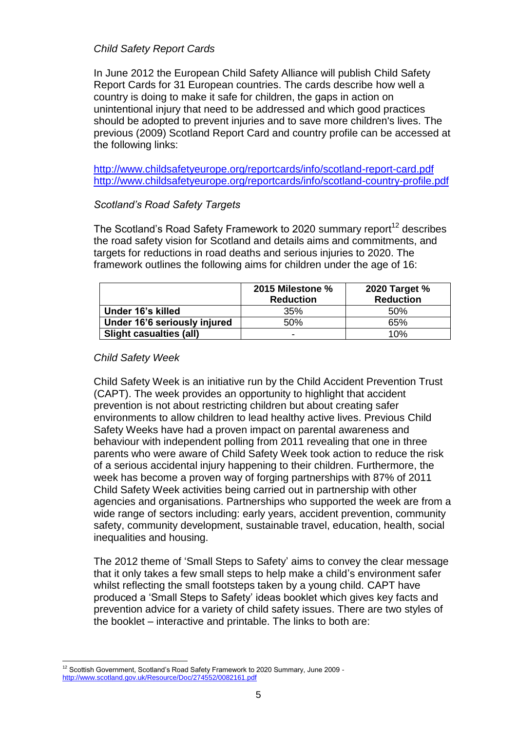### *Child Safety Report Cards*

In June 2012 the European Child Safety Alliance will publish Child Safety Report Cards for 31 European countries. The cards describe how well a country is doing to make it safe for children, the gaps in action on unintentional injury that need to be addressed and which good practices should be adopted to prevent injuries and to save more children's lives. The previous (2009) Scotland Report Card and country profile can be accessed at the following links:

<http://www.childsafetyeurope.org/reportcards/info/scotland-report-card.pdf> <http://www.childsafetyeurope.org/reportcards/info/scotland-country-profile.pdf>

## *Scotland's Road Safety Targets*

The Scotland's Road Safety Framework to 2020 summary report<sup>12</sup> describes the road safety vision for Scotland and details aims and commitments, and targets for reductions in road deaths and serious injuries to 2020. The framework outlines the following aims for children under the age of 16:

|                              | 2015 Milestone %<br><b>Reduction</b> | 2020 Target %<br><b>Reduction</b> |
|------------------------------|--------------------------------------|-----------------------------------|
| Under 16's killed            | 35%                                  | .50%                              |
| Under 16'6 seriously injured | 50%                                  | 65%                               |
| Slight casualties (all)      | -                                    | 10%                               |

## *Child Safety Week*

Child Safety Week is an initiative run by the Child Accident Prevention Trust (CAPT). The week provides an opportunity to highlight that accident prevention is not about restricting children but about creating safer environments to allow children to lead healthy active lives. Previous Child Safety Weeks have had a proven impact on parental awareness and behaviour with independent polling from 2011 revealing that one in three parents who were aware of Child Safety Week took action to reduce the risk of a serious accidental injury happening to their children. Furthermore, the week has become a proven way of forging partnerships with 87% of 2011 Child Safety Week activities being carried out in partnership with other agencies and organisations. Partnerships who supported the week are from a wide range of sectors including: early years, accident prevention, community safety, community development, sustainable travel, education, health, social inequalities and housing.

The 2012 theme of 'Small Steps to Safety' aims to convey the clear message that it only takes a few small steps to help make a child's environment safer whilst reflecting the small footsteps taken by a young child. CAPT have produced a 'Small Steps to Safety' ideas booklet which gives key facts and prevention advice for a variety of child safety issues. There are two styles of the booklet – interactive and printable. The links to both are:

**<sup>.</sup>**  $12$  Scottish Government, Scotland's Road Safety Framework to 2020 Summary, June 2009 <http://www.scotland.gov.uk/Resource/Doc/274552/0082161.pdf>